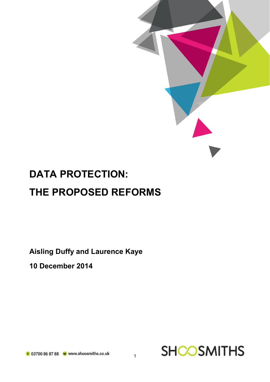

**Aisling Duffy and Laurence Kaye**

**10 December 2014**



**SHOOSMITHS** 

1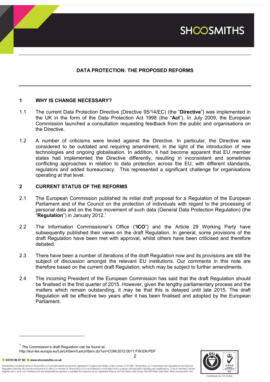

# **DATA PROTECTION: THE PROPOSED REFORMS**

# **1 WHY IS CHANGE NECESSARY?**

- 1.1 The current Data Protection Directive (Directive 95/14/EC) (the "**Directive**") was implemented in the UK in the form of the Data Protection Act 1998 (the "**Act**"). In July 2009, the European Commission launched a consultation requesting feedback from the public and organisations on the Directive.
- 1.2 A number of criticisms were levied against the Directive. In particular, the Directive was considered to be outdated and requiring amendment, in the light of the introduction of new technologies and ongoing globalisation. In addition, it had become apparent that EU member states had implemented the Directive differently, resulting in inconsistent and sometimes conflicting approaches in relation to data protection across the EU, with different standards, regulators and added bureaucracy. This represented a significant challenge for organisations operating at that level.

# **2 CURRENT STATUS OF THE REFORMS**

- 2.1 The European Commission published its initial draft proposal for a Regulation of the European Parliament and of the Council on the protection of individuals with regard to the processing of personal data and on the free movement of such data (General Data Protection Regulation) (the "**Regulation**") in January 2012.<sup>1</sup>
- 2.2 The Information Commissioner's Office ("**ICO**") and the Article 29 Working Party have subsequently published their views on the draft Regulation. In general, some provisions of the draft Regulation have been met with approval, whilst others have been criticised and therefore debated.
- 2.3 There have been a number of iterations of the draft Regulation now and its provisions are still the subject of discussion amongst the relevant EU institutions. Our comments in this note are therefore based on the current draft Regulation, which may be subject to further amendments.
- 2.4 The incoming President of the European Commission has said that the draft Regulation should be finalised in the first quarter of 2015. However, given the lengthy parliamentary process and the matters which remain outstanding, it may be that this is delayed until late 2015. The draft Regulation will be effective two years after it has been finalised and adopted by the European Parliament.

2

 $1$  The Commission's draft Regulation can be found at:

http://eur-lex.europa.eu/LexUriServ/LexUriServ.do?uri=COM:2012:0011:FIN:EN:PDF

t 03700 86 87 88 W www.shoosmiths.co.uk

l



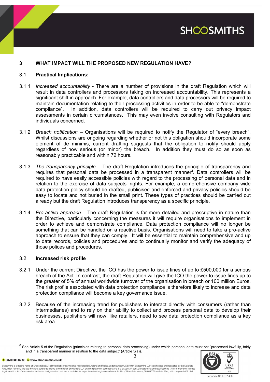

# **3 WHAT IMPACT WILL THE PROPOSED NEW REGULATION HAVE?**

### 3.1 **Practical Implications:**

- 3.1.1 *Increased accountability* There are a number of provisions in the draft Regulation which will result in data controllers and processors taking on increased accountability. This represents a significant shift in approach. For example, data controllers and data processors will be required to maintain documentation relating to their processing activities in order to be able to "demonstrate compliance". In addition, data controllers will be required to carry out privacy impact assessments in certain circumstances. This may even involve consulting with Regulators and individuals concerned.
- 3.1.2 *Breach notification –* Organisations will be required to notify the Regulator of "every breach". Whilst discussions are ongoing regarding whether or not this obligation should incorporate some element of de minimis, current drafting suggests that the obligation to notify should apply regardless of how serious (or minor) the breach. In addition they must do so as soon as reasonably practicable and within 72 hours.
- 3.1.3 *The transparency principle –* The draft Regulation introduces the principle of transparency and requires that personal data be processed in a transparent manner<sup>2</sup>. Data controllers will be required to have easily accessible policies with regard to the processing of personal data and in relation to the exercise of data subjects' rights. For example, a comprehensive company wide data protection policy should be drafted, publicised and enforced and privacy policies should be easy to locate and not buried in the small print. These types of practices should be carried out already but the draft Regulation introduces transparency as a specific principle.
- 3.1.4 *Pro-active approach –* The draft Regulation is far more detailed and prescriptive in nature than the Directive, particularly concerning the measures it will require organisations to implement in order to achieve and demonstrate compliance. Data protection compliance will no longer be something that can be handled on a reactive basis. Organisations will need to take a pro-active approach to ensure that they can comply. It will be essential to maintain comprehensive and up to date records, policies and procedures and to continually monitor and verify the adequacy of those polices and procedures.

### 3.2 **Increased risk profile**

- 3.2.1 Under the current Directive, the ICO has the power to issue fines of up to £500,000 for a serious breach of the Act. In contrast, the draft Regulation will give the ICO the power to issue fines up to the greater of 5% of annual worldwide turnover of the organisation in breach or 100 million Euros. The risk profile associated with data protection compliance is therefore likely to increase and data protection compliance will become a key governance issue.
- 3.2.2 Because of the increasing trend for publishers to interact directly with consumers (rather than intermediaries) and to rely on their ability to collect and process personal data to develop their businesses, publishers will now, like retailers, need to see data protection compliance as a key risk area.

t 03700 86 87 88 W www.shoosmiths.co.uk

l

Shoosmiths is a trading name of Shoosmiths LLP, a limited liability partnership registered in England and Wales, under number OC374987. Shoosmiths LLP is authorised and regulated by the Solicitors Regulation Authority. We use the word partner to refer to a member of Shoosmiths LLP, or an employee or consultant who is a lawyer with equivalent standing and qualifications. A list of members' names<br>together with a list



<sup>3</sup> <sup>2</sup> See Article 5 of the Regulation (principles relating to personal data processing) under which personal data must be: "processed lawfully, fairly and in a transparent manner in relation to the data subject" (Article 5(a)).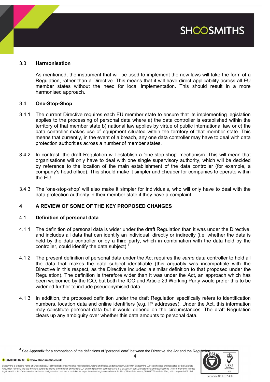

# 3.3 **Harmonisation**

As mentioned, the instrument that will be used to implement the new laws will take the form of a Regulation, rather than a Directive. This means that it will have direct applicability across all EU member states without the need for local implementation. This should result in a more harmonised approach.

### 3.4 **One-Stop-Shop**

- 3.4.1 The current Directive requires each EU member state to ensure that its implementing legislation applies to the processing of personal data where a) the data controller is established within the territory of that member state b) national law applies by virtue of public international law or c) the data controller makes use of equipment situated within the territory of that member state. This means that currently, in the event of a breach, any one data controller may have to deal with data protection authorities across a number of member states.
- 3.4.2 In contrast, the draft Regulation will establish a 'one-stop-shop' mechanism. This will mean that organisations will only have to deal with one single supervisory authority, which will be decided by reference to the location of the main establishment of the data controller (for example, a company's head office). This should make it simpler and cheaper for companies to operate within the EU.
- 3.4.3 The 'one-stop-shop' will also make it simpler for individuals, who will only have to deal with the data protection authority in their member state if they have a complaint.

# **4 A REVIEW OF SOME OF THE KEY PROPOSED CHANGES**

### 4.1 **Definition of personal data**

- 4.1.1 The definition of personal data is wider under the draft Regulation than it was under the Directive, and includes all data that can identify an individual, directly or indirectly (i.e. whether the data is held by the data controller or by a third party, which in combination with the data held by the controller, could identify the data subject).<sup>3</sup>
- 4.1.2 The present definition of personal data under the Act requires the *same* data controller to hold all the data that makes the data subject identifiable (this arguably was incompatible with the Directive in this respect, as the Directive included a similar definition to that proposed under the Regulation). The definition is therefore wider than it was under the Act, an approach which has been welcomed by the ICO, but both the ICO and Article 29 Working Party would prefer this to be widened further to include pseudonymised data.
- 4.1.3 In addition, the proposed definition under the draft Regulation specifically refers to identification numbers, location data and online identifiers (e.g. IP addresses). Under the Act, this information may constitute personal data but it would depend on the circumstances. The draft Regulation clears up any ambiguity over whether this data amounts to personal data.

4

t 03700 86 87 88 W www.shoosmiths.co.uk

l

Shoosmiths is a trading name of Shoosmiths LLP, a limited liability partnership registered in England and Wales, under number OC374987. Shoosmiths LLP is authorised and regulated by the Solicitors Regulation Authority. We use the word partner to refer to a member of Shoosmiths LLP, or an employee or consultant who is a lawyer with equivalent standing and qualifications. A list of members' names<br>together with a list



Certificate No. FS 31466

 $^3$  See Appendix for a comparison of the definitions of "personal data" between the Directive, the Act and the Regulation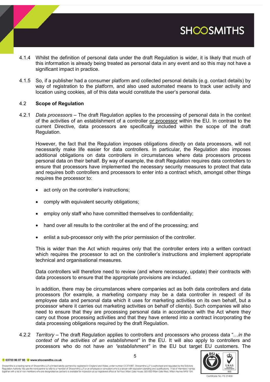- 4.1.4 Whilst the definition of personal data under the draft Regulation is wider, it is likely that much of this information is already being treated as personal data in any event and so this may not have a significant impact in practice.
- 4.1.5 So, if a publisher had a consumer platform and collected personal details (e.g. contact details) by way of registration to the platform, and also used automated means to track user activity and location using cookies, all of this data would constitute the user's personal data.

### 4.2 **Scope of Regulation**

4.2.1 *Data processors* – The draft Regulation applies to the processing of personal data in the context of the activities of an establishment of a controller or processor within the EU. In contrast to the current Directive, data processors are specifically included within the scope of the draft Regulation.

However, the fact that the Regulation imposes obligations directly on data processors, will not necessarily make life easier for data controllers. In particular, the Regulation also imposes additional obligations on data controllers in circumstances where data processors process personal data on their behalf. By way of example, the draft Regulation requires data controllers to ensure that processors have implemented the necessary security measures to protect that data and requires both controllers and processors to enter into a contract which, amongst other things requires the processor to:

- act only on the controller's instructions;
- comply with equivalent security obligations;
- employ only staff who have committed themselves to confidentiality;
- hand over all results to the controller at the end of the processing; and
- enlist a sub-processor only with the prior permission of the controller.

This is wider than the Act which requires only that the controller enters into a written contract which requires the processor to act on the controller's instructions and implement appropriate technical and organisational measures.

Data controllers will therefore need to review (and where necessary, update) their contracts with data processors to ensure that the appropriate provisions are included.

In addition, there may be circumstances where companies act as both data controllers and data processors (for example, a marketing company may be a data controller in respect of its employee data and personal data which it uses for marketing activities on its own behalf, but a processor where it carries out marketing activities on behalf of clients). Such companies will also need to ensure that they are processing personal data in accordance with the Act where they carry out those processing activities and that they have entered into a contract incorporating the data processing obligations required by the draft Regulation.

4.2.2 *Territory* – The draft Regulation applies to controllers and processors who process data "…*in the context of the activities of an establishment"* in the EU. It will also apply to controllers and processors who do not have *an "establishment"* in the EU but target EU customers. The

Certificate No. FS 31466

**SHOOSMITHS** 

Shoosmiths is a trading name of Shoosmiths LLP, a limited liability partnership registered in England and Wales, under number OC374987. Shoosmiths LLP is authorised and regulated by the Solicitors Requlation Authority. We use the word partner to refer to a member of Shoosmiths LLP, or an employee or consultant who is a lawyer with equivalent standing and qualifications. A list of members' names regulaurizourum, we use us word parent when the music compared to the interest of the state of the state of the state of the state of the state of the state of the state of the state of the state of the state of the state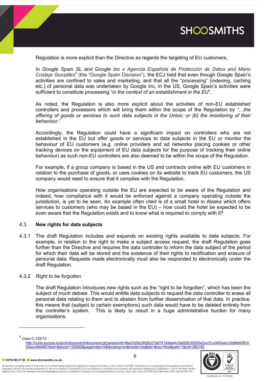

Regulation is more explicit than the Directive as regards the targeting of EU customers.

In *Google Spain SL and Google Inc v Agencia Española de Protección de Datos and Mario*  Costeja González<sup>4</sup> (the "Google Spain Decision"), the ECJ held that even though Google Spain's activities are confined to sales and marketing, and that all the "processing" (indexing, caching etc.) of personal data was undertaken by Google Inc, in the US, Google Spain's activities were sufficient to constitute processing "*in the context of an establishment in the EU*".

As noted, the Regulation is also more explicit about the activities of non-EU established controllers and processors which will bring them within the scope of the Regulation by *"…the offering of goods or services to such data subjects in the Union; or (b) the monitoring of their behaviour*.*"*

Accordingly, the Regulation could have a significant impact on controllers who are not established in the EU but offer goods or services to data subjects in the EU or monitor the behaviour of EU customers (e.g. online providers and ad networks placing cookies or other tracking devices on the equipment of EU data subjects for the purpose of tracking their online behaviour) as such non-EU controllers are also deemed to be within the scope of the Regulation.

For example, if a group company is based in the US and contracts online with EU customers in relation to the purchase of goods, or uses cookies on its website to track EU customers, the US company would need to ensure that it complies with the Regulation.

How organisations operating outside the EU are expected to be aware of the Regulation and indeed, how compliance with it would be enforced against a company operating outside the jurisdiction, is yet to be seen. An example often cited is of a small hotel in Alaska which offers services to customers (who may be based in the EU) – how could the hotel be expected to be even aware that the Regulation exists and to know what is required to comply with it?

### 4.3 **New rights for data subjects**

4.3.1 The draft Regulation includes and expands on existing rights available to data subjects. For example, in relation to the right to make a subject access request, the draft Regulation goes further than the Directive and requires the data controller to inform the data subject of the period for which their data will be stored and the existence of their rights to rectification and erasure of personal data. Requests made electronically must also be responded to electronically under the draft Regulation.

### 4.3.2 *Right to be forgotten*

The draft Regulation introduces new rights such as the "right to be forgotten", which has been the subject of much debate. This would entitle data subjects to request the data controller to erase all personal data relating to them and to abstain from further dissemination of that data. In practice, this means that (subject to certain exemptions) such data would have to be deleted entirely from the controller's system. This is likely to result in a huge administrative burden for many organisations.

4 Case C-132/12 -

l

http://curia.europa.eu/juris/document/document.jsf;jsessionid=9ea7d2dc30d5c27dd7414dea4cc9a92fc392d5e2ce10.e34KaxiLc3qMb40Rch 0SaxuNbh90?text=&docid=152065&pageIndex=0&doclang=en&mode=req&dir=&occ=first&part=1&cid=380192



Shoosmiths is a trading name of Shoosmiths LLP, a limited liability partnership registered in England and Wales, under number OC374987. Shoosmiths LLP is authorised and regulated by the Solicitors Requlation Authority. We use the word partner to refer to a member of Shoosmiths LLP, or an employee or consultant who is a lawyer with equivalent standing and qualifications. A list of members' names together with a list of non members who are designated as partners is available for inspection at our registered office at 1st Floor, Witan Gate House, 500-600 Witan Gate West, Milton Keynes MK9 1SH.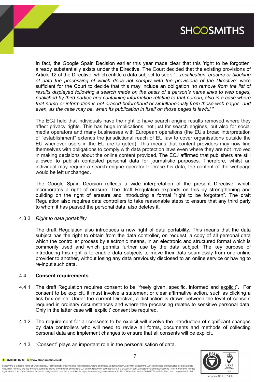

In fact, the Google Spain Decision earlier this year made clear that this 'right to be forgotten' already substantially exists under the Directive. The Court decided that the existing provisions of Article 12 of the Directive, which entitle a data subject to seek *"…rectification, erasure or blocking of data the processing of which does not comply with the provisions of the Directive*" were sufficient for the Court to decide that this may include an obligation *"to remove from the list of results displayed following a search made on the basis of a person's name links to web pages, published by third parties and containing information relating to that person, also in a case where that name or information is not erased beforehand or simultaneously from those web pages, and even, as the case may be, when its publication in itself on those pages is lawful."*

The ECJ held that individuals have the right to have search engine results removed where they affect privacy rights. This has huge implications, not just for search engines, but also for social media operators and many businesses with European operations (the EU's broad interpretation of "establishment" extends the jurisdictional reach of EU law to cover organisations outside the EU whenever users in the EU are targeted). This means that content providers may now find themselves with obligations to comply with data protection laws even where they are not involved in making decisions about the online content provided. The ECJ affirmed that publishers are still allowed to publish contested personal data for journalistic purposes. Therefore, whilst an individual may require a search engine operator to erase his data, the content of the webpage would be left unchanged.

The Google Spain Decision reflects a wide interpretation of the present Directive, which incorporates a right of erasure. The draft Regulation expands on this by strengthening and building on the right of erasure and introducing a formal "right to be forgotten". The draft Regulation also requires data controllers to take reasonable steps to ensure that any third party to whom it has passed the personal data, also deletes it.

### 4.3.3 *Right to data portability*

The draft Regulation also introduces a new right of data portability. This means that the data subject has the right to obtain from the data controller, on request, a copy of all personal data which the controller process by electronic means, in an electronic and structured format which is commonly used and which permits further use by the data subject. The key purpose of introducing this right is to enable data subjects to move their data seamlessly from one online provider to another, without losing any data previously disclosed to an online service or having to re-input such data.

### 4.4 **Consent requirements**

- 4.4.1 The draft Regulation requires consent to be "freely given, specific, informed and explicit". For consent to be explicit, it must involve a statement or clear affirmative action, such as clicking a tick box online. Under the current Directive, a distinction is drawn between the level of consent required in ordinary circumstances and where the processing relates to sensitive personal data. Only in the latter case will 'explicit' consent be required.
- 4.4.2 The requirement for all consents to be explicit will involve the introduction of significant changes by data controllers who will need to review all forms, documents and methods of collecting personal data and implement changes to ensure that all consents will be explicit.
- 4.4.3 "Consent" plays an important role in the personalisation of data.



t 03700 86 87 88 W www.shoosmiths.co.uk

Shoosmiths is a trading name of Shoosmiths LLP, a limited liability partnership registered in England and Wales, under number OC374987. Shoosmiths LLP is authorised and regulated by the Solicitors Requlation Authority. We use the word partner to refer to a member of Shoosmiths LLP, or an employee or consultant who is a lawyer with equivalent standing and qualifications. A list of members' names together with a list of non members who are designated as partners is available for inspection at our registered office at 1st Floor, Witan Gate House, 500-600 Witan Gate West, Milton Keynes MK9 1SH.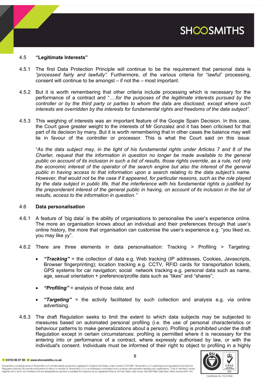# **SHOOSMITHS**

### 4.5 **"Legitimate Interests"**

- 4.5.1 The first Data Protection Principle will continue to be the requirement that personal data is *"processed fairly and lawfully".* Furthermore, of the various criteria for "lawful" processing, consent will continue to be amongst – if not the – most important.
- 4.5.2 But it is worth remembering that other criteria include processing which is necessary for the performance of a contract and "….*for the purposes of the legitimate interests pursued by the controller or by the third party or parties to whom the data are disclosed, except where such interests are overridden by the interests for fundamental rights and freedoms of the data subject".*
- 4.5.3 This weighing of interests was an important feature of the Google Spain Decision. In this case, the Court gave greater weight to the interests of Mr Gonzalez and it has been criticised for that part of its decision by many. But it is worth remembering that in other cases the balance may well lie in favour of the controller or processor. This is what the Court said on this issue:

"*As the data subject may, in the light of his fundamental rights under Articles 7 and 8 of the Charter, request that the information in question no longer be made available to the general public on account of its inclusion in such a list of results, those rights override, as a rule, not only the economic interest of the operator of the search engine but also the interest of the general public in having access to that information upon a search relating to the data subject's name. However, that would not be the case if it appeared, for particular reasons, such as the role played by the data subject in public life, that the interference with his fundamental rights is justified by the preponderant interest of the general public in having, on account of its inclusion in the list of results, access to the information in question."*

### 4.6 **Data personalisation**

- 4.6.1 A feature of 'big data' is the ability of organisations to personalise the user's experience online. The more an organisation knows about an individual and their preferences through that user's online history, the more that organisation can customise the user's experience e.g. "you liked xx, you may like yy".
- 4.6.2 There are three elements in data personalisation: Tracking > Profiling > Targeting:
	- *"Tracking"* = the collection of data e.g. Web tracking (IP addresses, Cookies, Javascripts, Browser fingerprinting); location tracking e.g. CCTV, RFID cards for transportation tickets, GPS systems for car navigation; social network tracking e.g. personal data such as name, age, sexual orientation + preference/profile data such as "likes" and "shares";
	- *"Profiling"* = analysis of those data; and
	- *"Targeting" =* the activity facilitated by such collection and analysis e.g. via online advertising.
- 4.6.3 The draft Regulation seeks to limit the extent to which data subjects may be subjected to measures based on automated personal profiling (i.e. the use of personal characteristics or behaviour patterns to make generalizations about a person). Profiling is prohibited under the draft Regulation except in certain circumstances: profiling is permitted where it is necessary for the entering into or performance of a contract, where expressly authorised by law, or with the individual's consent. Individuals must be informed of their right to object to profiling in a highly

t 03700 86 87 88 W www.shoosmiths.co.uk

Shoosmiths is a trading name of Shoosmiths LLP, a limited liability partnership registered in England and Wales, under number OC374987. Shoosmiths LLP is authorised and regulated by the Solicitors Regulation Authority. We use the word partner to refer to a member of Shoosmiths LLP, or an employee or consultant who is a lawyer with equivalent standing and qualifications. A list of members' names<br>together with a list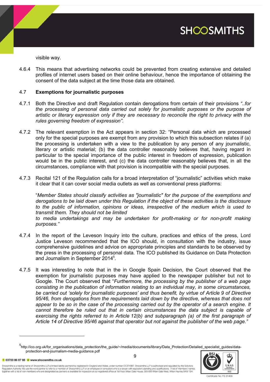

visible way.

4.6.4 This means that advertising networks could be prevented from creating extensive and detailed profiles of internet users based on their online behaviour, hence the importance of obtaining the consent of the data subject at the time those data are obtained.

### 4.7 **Exemptions for journalistic purposes**

- 4.7.1 Both the Directive and draft Regulation contain derogations from certain of their provisions *"..for the processing of personal data carried out solely for journalistic purposes or the purpose of artistic or literary expression only if they are necessary to reconcile the right to privacy with the rules governing freedom of expression"*.
- 4.7.2 The relevant exemption in the Act appears in section 32: "Personal data which are processed only for the special purposes are exempt from any provision to which this subsection relates if (a) the processing is undertaken with a view to the publication by any person of any journalistic, literary or artistic material; (b) the data controller reasonably believes that, having regard in particular to the special importance of the public interest in freedom of expression, publication would be in the public interest, and (c) the data controller reasonably believes that, in all the circumstances, compliance with that provision is incompatible with the special purposes.
- 4.7.3 Recital 121 of the Regulation calls for a broad interpretation of "journalistic" activities which make it clear that it can cover social media outlets as well as conventional press platforms:

"*Member States should classify activities as "journalistic" for the purpose of the exemptions and derogations to be laid down under this Regulation if the object of these activities is the disclosure to the public of information, opinions or ideas, irrespective of the medium which is used to transmit them. They should not be limited*

*to media undertakings and may be undertaken for profit-making or for non-profit making purposes."*

- 4.7.4 In the report of the Leveson Inquiry into the culture, practices and ethics of the press, Lord Justice Leveson recommended that the ICO should, in consultation with the industry, issue comprehensive guidelines and advice on appropriate principles and standards to be observed by the press in the processing of personal data. The ICO published its Guidance on Data Protection and Journalism in September 2014<sup>5</sup>.
- 4.7.5 It was interesting to note that in the in Google Spain Decision, the Court observed that the exemption for journalistic purposes may have applied to the newspaper publisher but not to Google. The Court observed that "*Furthermore, the processing by the publisher of a web page consisting in the publication of information relating to an individual may, in some circumstances, be carried out 'solely for journalistic purposes' and thus benefit, by virtue of Article 9 of Directive 95/46, from derogations from the requirements laid down by the directive, whereas that does not appear to be so in the case of the processing carried out by the operator of a search engine. It cannot therefore be ruled out that in certain circumstances the data subject is capable of exercising the rights referred to in Article 12(b) and subparagraph (a) of the first paragraph of Article 14 of Directive 95/46 against that operator but not against the publisher of the web page."*

9



t 03700 86 87 88 W www.shoosmiths.co.uk

l

<sup>5&</sup>lt;br>http://ico.org.uk/for\_organisations/data\_protection/the\_guide/~/media/documents/library/Data\_Protection/Detailed\_specialist\_guides/dataprotection-and-journalism-media-guidance.pdf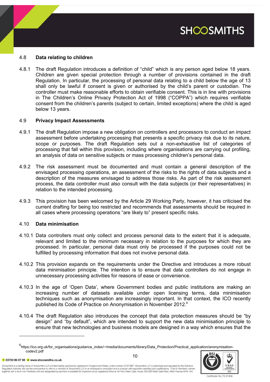# **SHOOSMITHS**

## 4.8 **Data relating to children**

4.8.1 The draft Regulation introduces a definition of "child" which is any person aged below 18 years. Children are given special protection through a number of provisions contained in the draft Regulation. In particular, the processing of personal data relating to a child below the age of 13 shall only be lawful if consent is given or authorised by the child's parent or custodian. The controller must make reasonable efforts to obtain verifiable consent. This is in line with provisions in The Children's Online Privacy Protection Act of 1998 ("COPPA") which requires verifiable consent from the children's parents (subject to certain, limited exceptions) where the child is aged below 13 years.

### 4.9 **Privacy Impact Assessments**

- 4.9.1 The draft Regulation impose a new obligation on controllers and processors to conduct an impact assessment before undertaking processing that presents a specific privacy risk due to its nature, scope or purposes. The draft Regulation sets out a non-exhaustive list of categories of processing that fall within this provision, including where organisations are carrying out profiling, an analysis of data on sensitive subjects or mass processing children's personal data.
- 4.9.2 The risk assessment must be documented and must contain a general description of the envisaged processing operations, an assessment of the risks to the rights of data subjects and a description of the measures envisaged to address those risks. As part of the risk assessment process, the data controller must also consult with the data subjects (or their representatives) in relation to the intended processing.
- 4.9.3 This provision has been welcomed by the Article 29 Working Party, however, it has criticised the current drafting for being too restricted and recommends that assessments should be required in all cases where processing operations "are likely to" present specific risks.

### 4.10 **Data minimisation**

- 4.10.1 Data controllers must only collect and process personal data to the extent that it is adequate, relevant and limited to the minimum necessary in relation to the purposes for which they are processed. In particular, personal data must only be processed if the purposes could not be fulfilled by processing information that does not involve personal data.
- 4.10.2 This provision expands on the requirements under the Directive and introduces a more robust data minimisation principle. The intention is to ensure that data controllers do not engage in unnecessary processing activities for reasons of ease or convenience.
- 4.10.3 In the age of 'Open Data', where Government bodies and public institutions are making an increasing number of datasets available under open licensing terms, data minimisation techniques such as anonymisation are increasingly important. In that context, the ICO recently published its Code of Practice on Anonymisation in November 2012.<sup>6</sup>
- 4.10.4 The draft Regulation also introduces the concept that data protection measures should be "by design" and "by default", which are intended to support the new data minimisation principle to ensure that new technologies and business models are designed in a way which ensures that the

<sup>6&</sup>lt;br>https://ico.org.uk/for\_organisations/guidance\_index/~/media/documents/library/Data\_Protection/Practical\_application/anonymisationcodev2.pdf



t 03700 86 87 88 W www.shoosmiths.co.uk

l

Shoosmiths is a trading name of Shoosmiths LLP, a limited liability partnership registered in England and Wales, under number OC374987. Shoosmiths LLP is authorised and regulated by the Solicitors Regulation Authority. We use the word partner to refer to a member of Shoosmiths LLP, or an employee or consultant who is a lawyer with equivalent standing and qualifications. A list of members' names<br>together with a list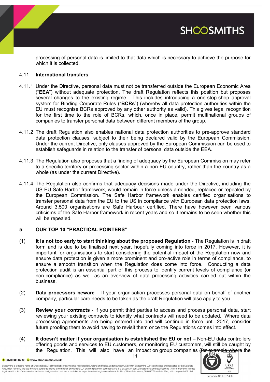**SHOOSMITHS** 

processing of personal data is limited to that data which is necessary to achieve the purpose for which it is collected.

### 4.11 **International transfers**

- 4.11.1 Under the Directive, personal data must not be transferred outside the European Economic Area ("**EEA**") without adequate protection. The draft Regulation reflects this position but proposes several changes to the existing regime. This includes introducing a one-stop-shop approval system for Binding Corporate Rules ("**BCRs**") (whereby all data protection authorities within the EU must recognise BCRs approved by any other authority as valid). This gives legal recognition for the first time to the role of BCRs, which, once in place, permit multinational groups of companies to transfer personal data between different members of the group.
- 4.11.2 The draft Regulation also enables national data protection authorities to pre-approve standard data protection clauses, subject to their being declared valid by the European Commission. Under the current Directive, only clauses approved by the European Commission can be used to establish safeguards in relation to the transfer of personal data outside the EEA.
- 4.11.3 The Regulation also proposes that a finding of adequacy by the European Commission may refer to a specific territory or processing sector within a non-EU country, rather than the country as a whole (as under the current Directive).
- 4.11.4 The Regulation also confirms that adequacy decisions made under the Directive, including the US-EU Safe Harbor framework, would remain in force unless amended, replaced or repealed by the European Commission. The Safe Harbor framework enables certified organisations to transfer personal data from the EU to the US in compliance with European data protection laws. Around 3.500 organisations are Safe Harbour certified. There have however been various criticisms of the Safe Harbor framework in recent years and so it remains to be seen whether this will be repealed.

### **5 OUR TOP 10 "PRACTICAL POINTERS"**

- (1) **It is not too early to start thinking about the proposed Regulation** The Regulation is in draft form and is due to be finalised next year, hopefully coming into force in 2017. However, it is important for organisations to start considering the potential impact of the Regulation now and ensure data protection is given a more prominent and pro-active role in terms of compliance, to ensure a smooth transition when the Regulation does come into force. Conducting a data protection audit is an essential part of this process to identify current levels of compliance (or non-compliance) as well as an overview of data processing activities carried out within the business.
- (2) **Data processors beware** If your organisation processes personal data on behalf of another company, particular care needs to be taken as the draft Regulation will also apply to you.
- (3) **Review your contracts** If you permit third parties to access and process personal data, start reviewing your existing contracts to identify what contracts will need to be updated. Where data processing agreements are being entered into and will continue in force until 2017, consider future proofing them to avoid having to revisit them once the Regulations comes into effect.
- (4) **It doesn't matter if your organisation is established the EU or not** Non-EU data controllers offering goods and services to EU customers, or monitoring EU customers, will still be caught by the Regulation. This will also have an impact on group companies (for example where the

11

t 03700 86 87 88 W www.shoosmiths.co.uk

Shoosmiths is a trading name of Shoosmiths LLP, a limited liability partnership registered in England and Wales, under number OC374987. Shoosmiths LLP is authorised and regulated by the Solicitors Regulation Authority. We use the word partner to refer to a member of Shoosmiths LLP, or an employee or consultant who is a lawyer with equivalent standing and qualifications. A list of members' names<br>together with a list

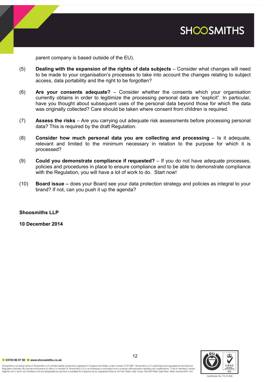

parent company is based outside of the EU).

- (5) **Dealing with the expansion of the rights of data subjects** Consider what changes will need to be made to your organisation's processes to take into account the changes relating to subject access, data portability and the right to be forgotten?
- (6) **Are your consents adequate?**  Consider whether the consents which your organisation currently obtains in order to legitimize the processing personal data are "explicit". In particular, have you thought about subsequent uses of the personal data beyond those for which the data was originally collected? Care should be taken where consent from children is required.
- (7) **Assess the risks**  Are you carrying out adequate risk assessments before processing personal data? This is required by the draft Regulation.
- (8) **Consider how much personal data you are collecting and processing** Is it adequate, relevant and limited to the minimum necessary in relation to the purpose for which it is processed?
- (9) **Could you demonstrate compliance if requested?** If you do not have adequate processes, policies and procedures in place to ensure compliance and to be able to demonstrate compliance with the Regulation, you will have a lot of work to do. Start now!
- (10) **Board issue –** does your Board see your data protection strategy and policies as integral to your brand? If not, can you push it up the agenda?

**Shoosmiths LLP**

**10 December 2014**



t 03700 86 87 88 W www.shoosmiths.co.uk

Shoosmiths is a trading name of Shoosmiths LLP, a limited liability partnership registered in England and Wales, under number OC374987. Shoosmiths LLP is authorised and regulated by the Solicitors Requlation Authority. We use the word partner to refer to a member of Shoosmiths LLP, or an employee or consultant who is a lawyer with equivalent standing and qualifications. A list of members' names regulauri Aurolium, ve use ile word parler when the music compared the compared office at the proportional compared the matter of the film of the matter of the matter of the matter of the state of the state of the state of